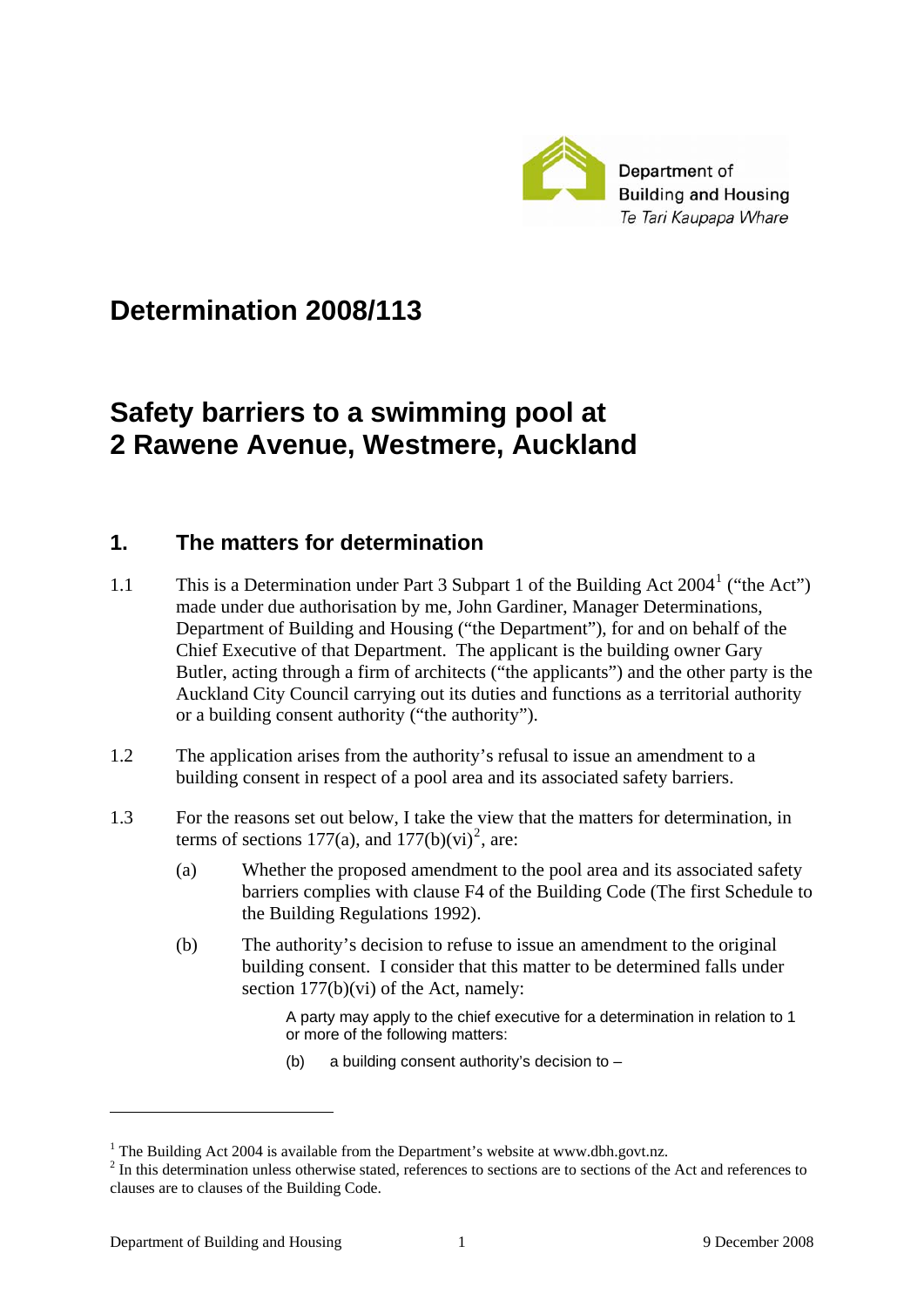

# **Determination 2008/113**

# **Safety barriers to a swimming pool at 2 Rawene Avenue, Westmere, Auckland**

### **1. The matters for determination**

- [1](#page-0-0).1 This is a Determination under Part 3 Subpart 1 of the Building Act 2004<sup>1</sup> ("the Act") made under due authorisation by me, John Gardiner, Manager Determinations, Department of Building and Housing ("the Department"), for and on behalf of the Chief Executive of that Department. The applicant is the building owner Gary Butler, acting through a firm of architects ("the applicants") and the other party is the Auckland City Council carrying out its duties and functions as a territorial authority or a building consent authority ("the authority").
- 1.2 The application arises from the authority's refusal to issue an amendment to a building consent in respect of a pool area and its associated safety barriers.
- 1.3 For the reasons set out below, I take the view that the matters for determination, in terms of sections 177(a), and  $177(b)(vi)^2$  $177(b)(vi)^2$ , are:
	- (a) Whether the proposed amendment to the pool area and its associated safety barriers complies with clause F4 of the Building Code (The first Schedule to the Building Regulations 1992).
	- (b) The authority's decision to refuse to issue an amendment to the original building consent. I consider that this matter to be determined falls under section 177(b)(vi) of the Act, namely:

A party may apply to the chief executive for a determination in relation to 1 or more of the following matters:

(b) a building consent authority's decision to –

<u>.</u>

<span id="page-0-0"></span><sup>&</sup>lt;sup>1</sup> The Building Act 2004 is available from the Department's website at www.dbh.govt.nz.

<span id="page-0-1"></span> $2 \text{ In this determination unless otherwise stated, references to sections are to sections of the Act and references to$ clauses are to clauses of the Building Code.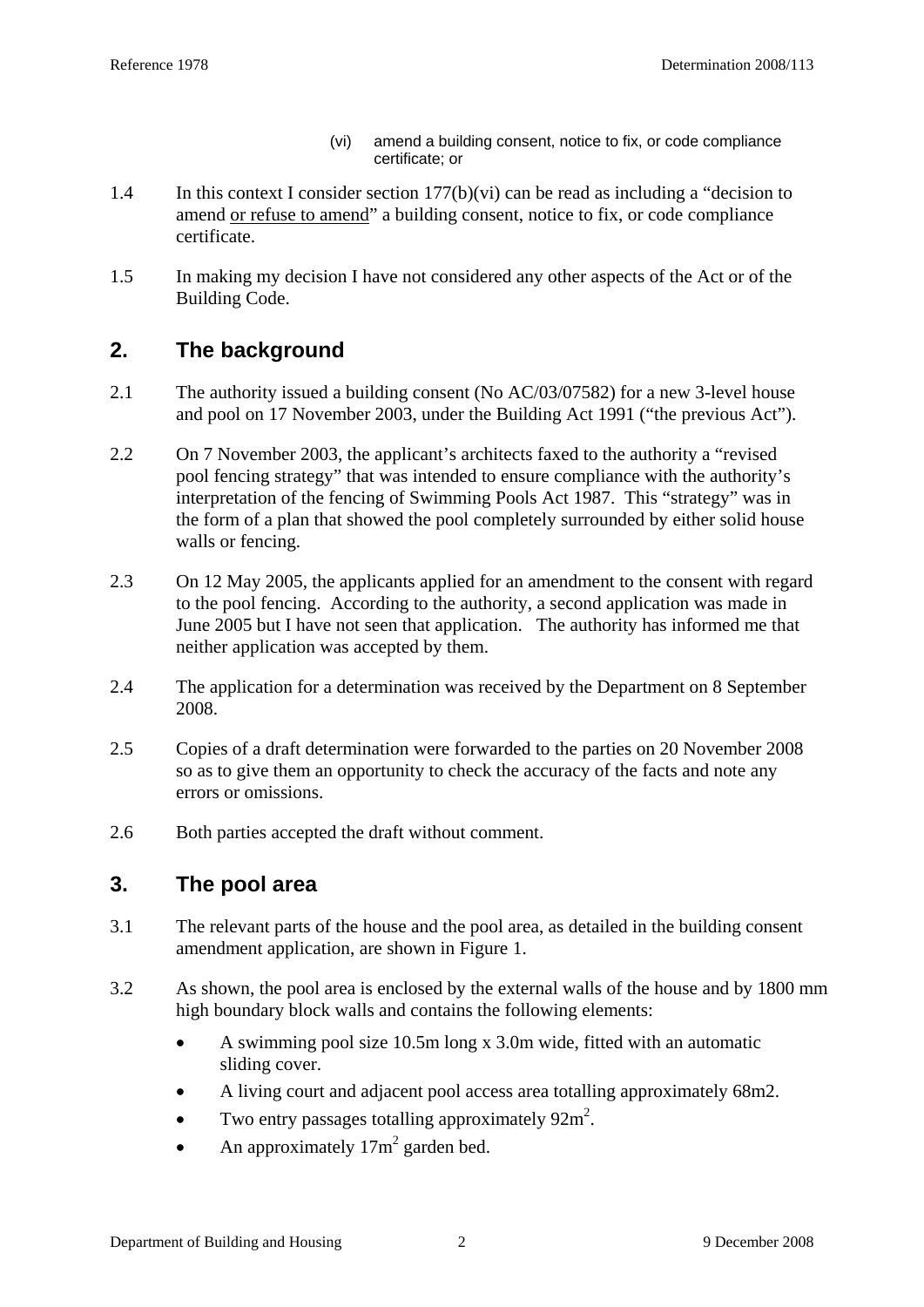- (vi) amend a building consent, notice to fix, or code compliance certificate; or
- 1.4 In this context I consider section  $177(b)(vi)$  can be read as including a "decision to amend or refuse to amend" a building consent, notice to fix, or code compliance certificate.
- 1.5 In making my decision I have not considered any other aspects of the Act or of the Building Code.

# **2. The background**

- 2.1 The authority issued a building consent (No AC/03/07582) for a new 3-level house and pool on 17 November 2003, under the Building Act 1991 ("the previous Act").
- 2.2 On 7 November 2003, the applicant's architects faxed to the authority a "revised pool fencing strategy" that was intended to ensure compliance with the authority's interpretation of the fencing of Swimming Pools Act 1987. This "strategy" was in the form of a plan that showed the pool completely surrounded by either solid house walls or fencing.
- 2.3 On 12 May 2005, the applicants applied for an amendment to the consent with regard to the pool fencing. According to the authority, a second application was made in June 2005 but I have not seen that application. The authority has informed me that neither application was accepted by them.
- 2.4 The application for a determination was received by the Department on 8 September 2008.
- 2.5 Copies of a draft determination were forwarded to the parties on 20 November 2008 so as to give them an opportunity to check the accuracy of the facts and note any errors or omissions.
- 2.6 Both parties accepted the draft without comment.

### **3. The pool area**

- 3.1 The relevant parts of the house and the pool area, as detailed in the building consent amendment application, are shown in Figure 1.
- 3.2 As shown, the pool area is enclosed by the external walls of the house and by 1800 mm high boundary block walls and contains the following elements:
	- A swimming pool size 10.5m long x 3.0m wide, fitted with an automatic sliding cover.
	- A living court and adjacent pool access area totalling approximately 68m2.
	- Two entry passages totalling approximately  $92m^2$ .
	- An approximately  $17m^2$  garden bed.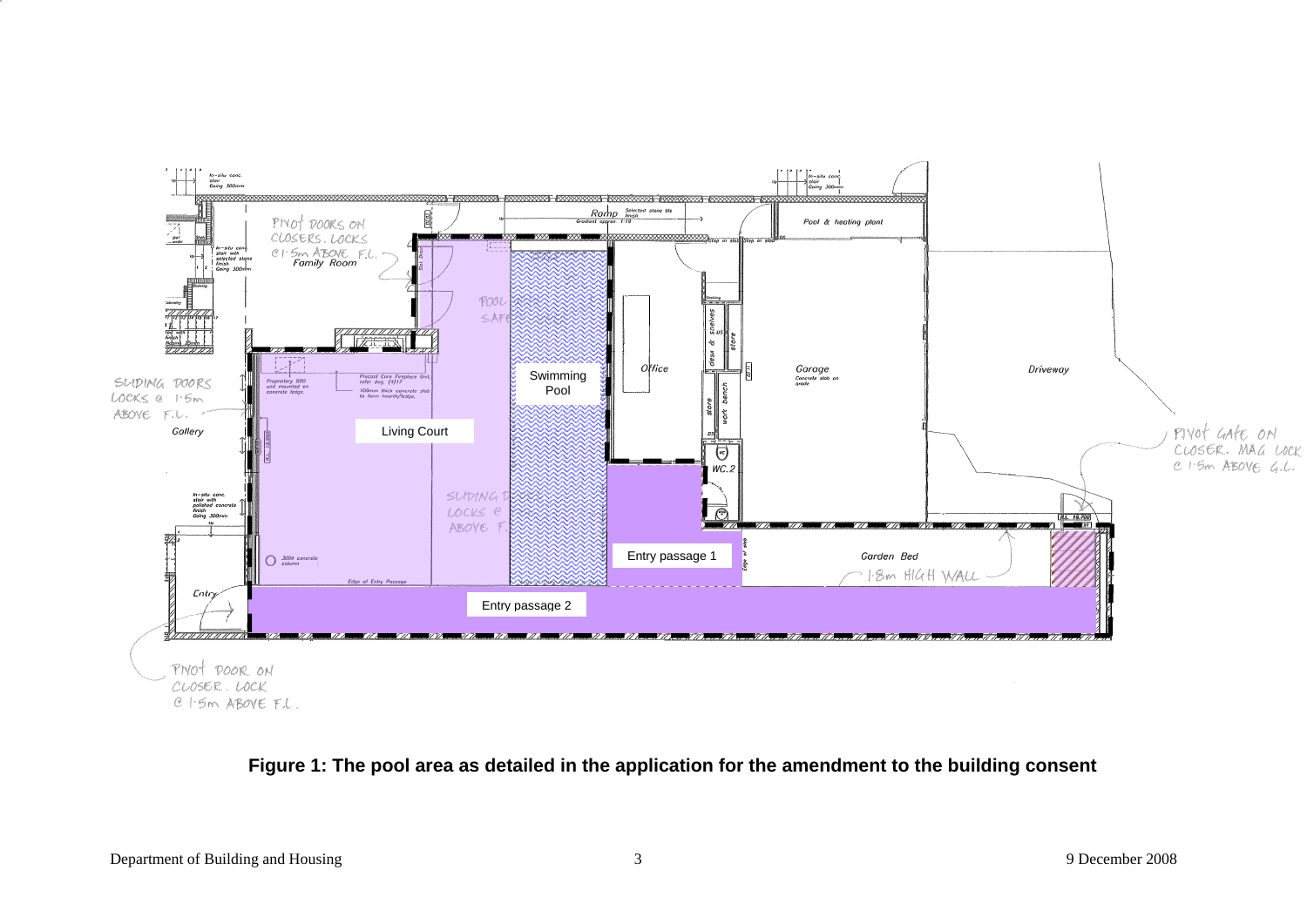

#### **Figure 1: The pool area as detailed in the application for the amendment to the building consent**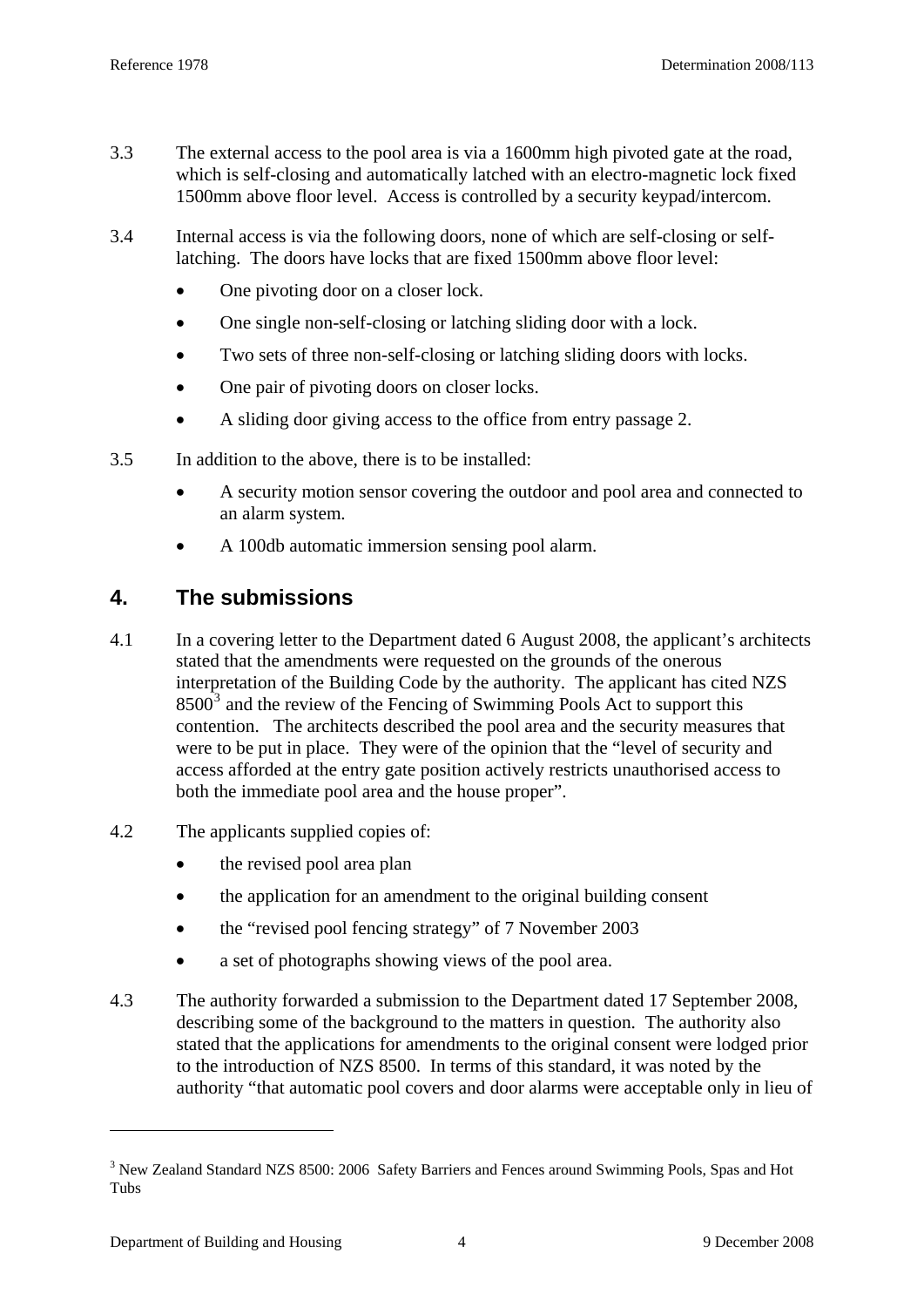- <span id="page-3-0"></span>3.3 The external access to the pool area is via a 1600mm high pivoted gate at the road, which is self-closing and automatically latched with an electro-magnetic lock fixed 1500mm above floor level. Access is controlled by a security keypad/intercom.
- 3.4 Internal access is via the following doors, none of which are self-closing or selflatching. The doors have locks that are fixed 1500mm above floor level:
	- One pivoting door on a closer lock.
	- One single non-self-closing or latching sliding door with a lock.
	- Two sets of three non-self-closing or latching sliding doors with locks.
	- One pair of pivoting doors on closer locks.
	- A sliding door giving access to the office from entry passage 2.
- 3.5 In addition to the above, there is to be installed:
	- A security motion sensor covering the outdoor and pool area and connected to an alarm system.
	- A 100db automatic immersion sensing pool alarm.

# **4. The submissions**

- 4.1 In a covering letter to the Department dated 6 August 2008, the applicant's architects stated that the amendments were requested on the grounds of the onerous interpretation of the Building Code by the authority. The applicant has cited NZS  $8500<sup>3</sup>$  $8500<sup>3</sup>$  $8500<sup>3</sup>$  and the review of the Fencing of Swimming Pools Act to support this contention. The architects described the pool area and the security measures that were to be put in place. They were of the opinion that the "level of security and access afforded at the entry gate position actively restricts unauthorised access to both the immediate pool area and the house proper".
- 4.2 The applicants supplied copies of:
	- the revised pool area plan
	- the application for an amendment to the original building consent
	- the "revised pool fencing strategy" of 7 November 2003
	- a set of photographs showing views of the pool area.
- 4.3 The authority forwarded a submission to the Department dated 17 September 2008, describing some of the background to the matters in question. The authority also stated that the applications for amendments to the original consent were lodged prior to the introduction of NZS 8500. In terms of this standard, it was noted by the authority "that automatic pool covers and door alarms were acceptable only in lieu of

<u>.</u>

<sup>&</sup>lt;sup>3</sup> New Zealand Standard NZS 8500: 2006 Safety Barriers and Fences around Swimming Pools, Spas and Hot Tubs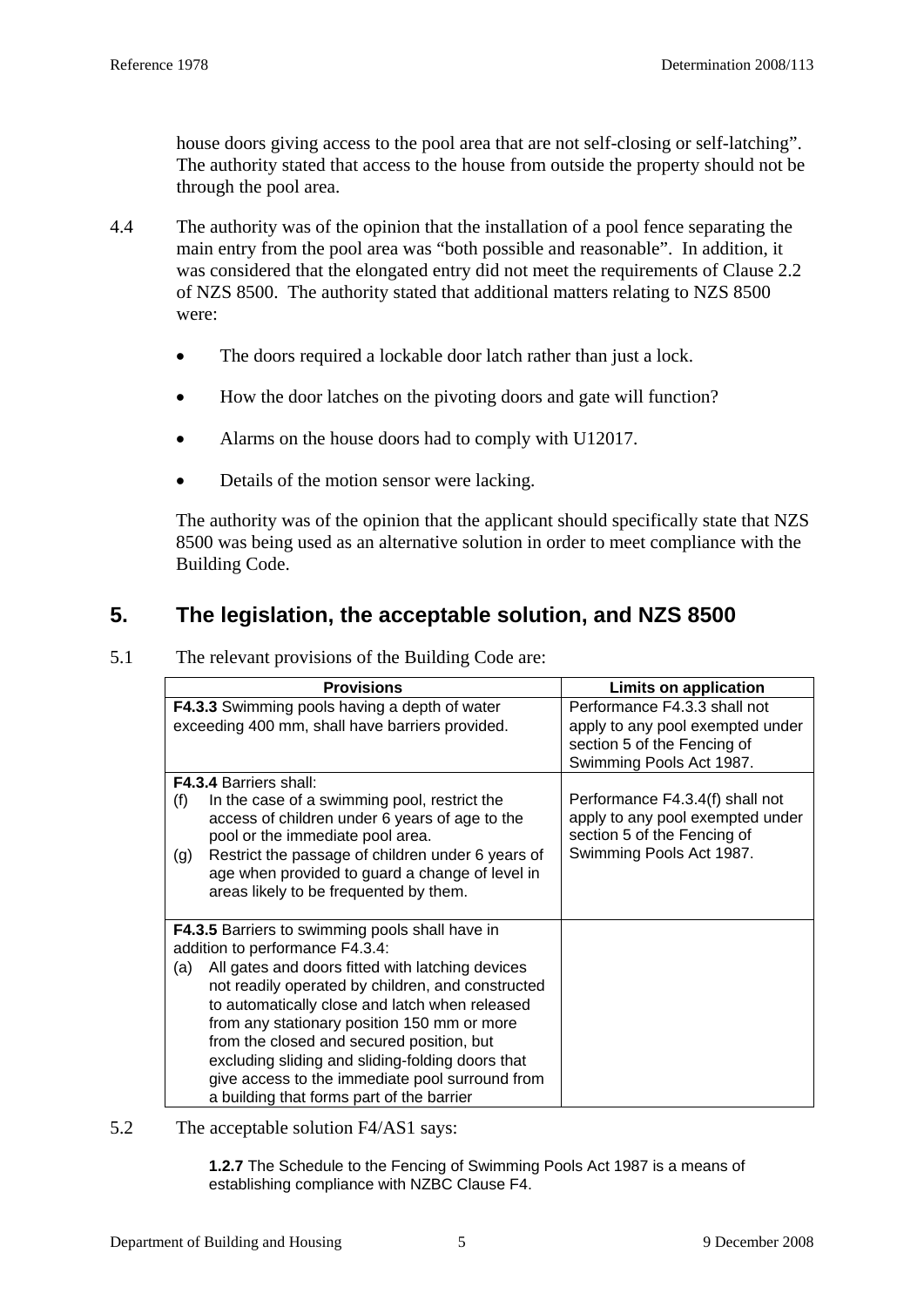house doors giving access to the pool area that are not self-closing or self-latching". The authority stated that access to the house from outside the property should not be through the pool area.

- 4.4 The authority was of the opinion that the installation of a pool fence separating the main entry from the pool area was "both possible and reasonable". In addition, it was considered that the elongated entry did not meet the requirements of Clause 2.2 of NZS 8500. The authority stated that additional matters relating to NZS 8500 were:
	- The doors required a lockable door latch rather than just a lock.
	- How the door latches on the pivoting doors and gate will function?
	- Alarms on the house doors had to comply with U12017.
	- Details of the motion sensor were lacking.

The authority was of the opinion that the applicant should specifically state that NZS 8500 was being used as an alternative solution in order to meet compliance with the Building Code.

### **5. The legislation, the acceptable solution, and NZS 8500**

5.1 The relevant provisions of the Building Code are:

| <b>Provisions</b>                                                                                                                                                                                                                                                                                                                                                                                              | Limits on application                                                                                                          |
|----------------------------------------------------------------------------------------------------------------------------------------------------------------------------------------------------------------------------------------------------------------------------------------------------------------------------------------------------------------------------------------------------------------|--------------------------------------------------------------------------------------------------------------------------------|
| <b>F4.3.3</b> Swimming pools having a depth of water<br>exceeding 400 mm, shall have barriers provided.                                                                                                                                                                                                                                                                                                        | Performance F4.3.3 shall not<br>apply to any pool exempted under<br>section 5 of the Fencing of<br>Swimming Pools Act 1987.    |
| <b>F4.3.4 Barriers shall:</b>                                                                                                                                                                                                                                                                                                                                                                                  |                                                                                                                                |
| In the case of a swimming pool, restrict the<br>(f)<br>access of children under 6 years of age to the<br>pool or the immediate pool area.<br>Restrict the passage of children under 6 years of<br>(g)<br>age when provided to guard a change of level in<br>areas likely to be frequented by them.                                                                                                             | Performance F4.3.4(f) shall not<br>apply to any pool exempted under<br>section 5 of the Fencing of<br>Swimming Pools Act 1987. |
| F4.3.5 Barriers to swimming pools shall have in                                                                                                                                                                                                                                                                                                                                                                |                                                                                                                                |
| addition to performance F4.3.4:                                                                                                                                                                                                                                                                                                                                                                                |                                                                                                                                |
| All gates and doors fitted with latching devices<br>(a)<br>not readily operated by children, and constructed<br>to automatically close and latch when released<br>from any stationary position 150 mm or more<br>from the closed and secured position, but<br>excluding sliding and sliding-folding doors that<br>give access to the immediate pool surround from<br>a building that forms part of the barrier |                                                                                                                                |

5.2 The acceptable solution F4/AS1 says:

**1.2.7** The Schedule to the Fencing of Swimming Pools Act 1987 is a means of establishing compliance with NZBC Clause F4.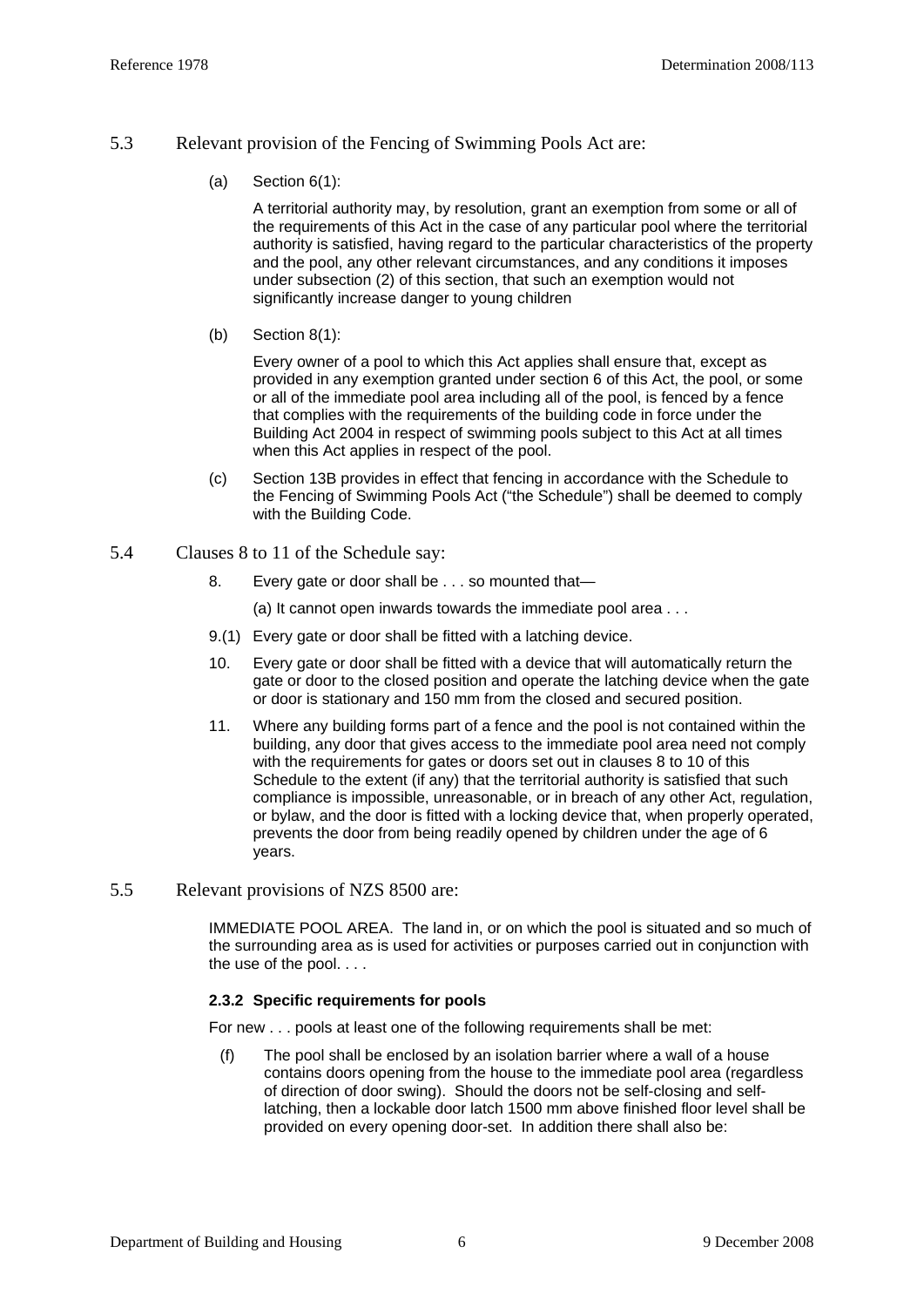#### 5.3 Relevant provision of the Fencing of Swimming Pools Act are:

(a) Section  $6(1)$ :

A territorial authority may, by resolution, grant an exemption from some or all of the requirements of this Act in the case of any particular pool where the territorial authority is satisfied, having regard to the particular characteristics of the property and the pool, any other relevant circumstances, and any conditions it imposes under subsection (2) of this section, that such an exemption would not significantly increase danger to young children

(b) Section  $8(1)$ :

Every owner of a pool to which this Act applies shall ensure that, except as provided in any exemption granted under section 6 of this Act, the pool, or some or all of the immediate pool area including all of the pool, is fenced by a fence that complies with the requirements of the building code in force under the Building Act 2004 in respect of swimming pools subject to this Act at all times when this Act applies in respect of the pool.

- (c) Section 13B provides in effect that fencing in accordance with the Schedule to the Fencing of Swimming Pools Act ("the Schedule") shall be deemed to comply with the Building Code.
- 5.4 Clauses 8 to 11 of the Schedule say:
	- 8. Every gate or door shall be . . . so mounted that—

(a) It cannot open inwards towards the immediate pool area . . .

- 9.(1) Every gate or door shall be fitted with a latching device.
- 10. Every gate or door shall be fitted with a device that will automatically return the gate or door to the closed position and operate the latching device when the gate or door is stationary and 150 mm from the closed and secured position.
- 11. Where any building forms part of a fence and the pool is not contained within the building, any door that gives access to the immediate pool area need not comply with the requirements for gates or doors set out in clauses [8](http://www.legislation.co.nz/libraries/contents/om_isapi.dll?clientID=659357310&hitsperheading=on&infobase=pal_statutes.nfo&jump=a1987-178%2fsch.0-s.8&softpage=DOC#JUMPDEST_a1987-178/sch.0-s.8) to [10](http://www.legislation.co.nz/libraries/contents/om_isapi.dll?clientID=659357310&hitsperheading=on&infobase=pal_statutes.nfo&jump=a1987-178%2fsch.0-s.10&softpage=DOC#JUMPDEST_a1987-178/sch.0-s.10) of this Schedule to the extent (if any) that the territorial authority is satisfied that such compliance is impossible, unreasonable, or in breach of any other Act, regulation, or bylaw, and the door is fitted with a locking device that, when properly operated, prevents the door from being readily opened by children under the age of 6 years.
- 5.5 Relevant provisions of NZS 8500 are:

IMMEDIATE POOL AREA. The land in, or on which the pool is situated and so much of the surrounding area as is used for activities or purposes carried out in conjunction with the use of the pool. . . .

#### **2.3.2 Specific requirements for pools**

For new . . . pools at least one of the following requirements shall be met:

(f) The pool shall be enclosed by an isolation barrier where a wall of a house contains doors opening from the house to the immediate pool area (regardless of direction of door swing). Should the doors not be self-closing and selflatching, then a lockable door latch 1500 mm above finished floor level shall be provided on every opening door-set. In addition there shall also be: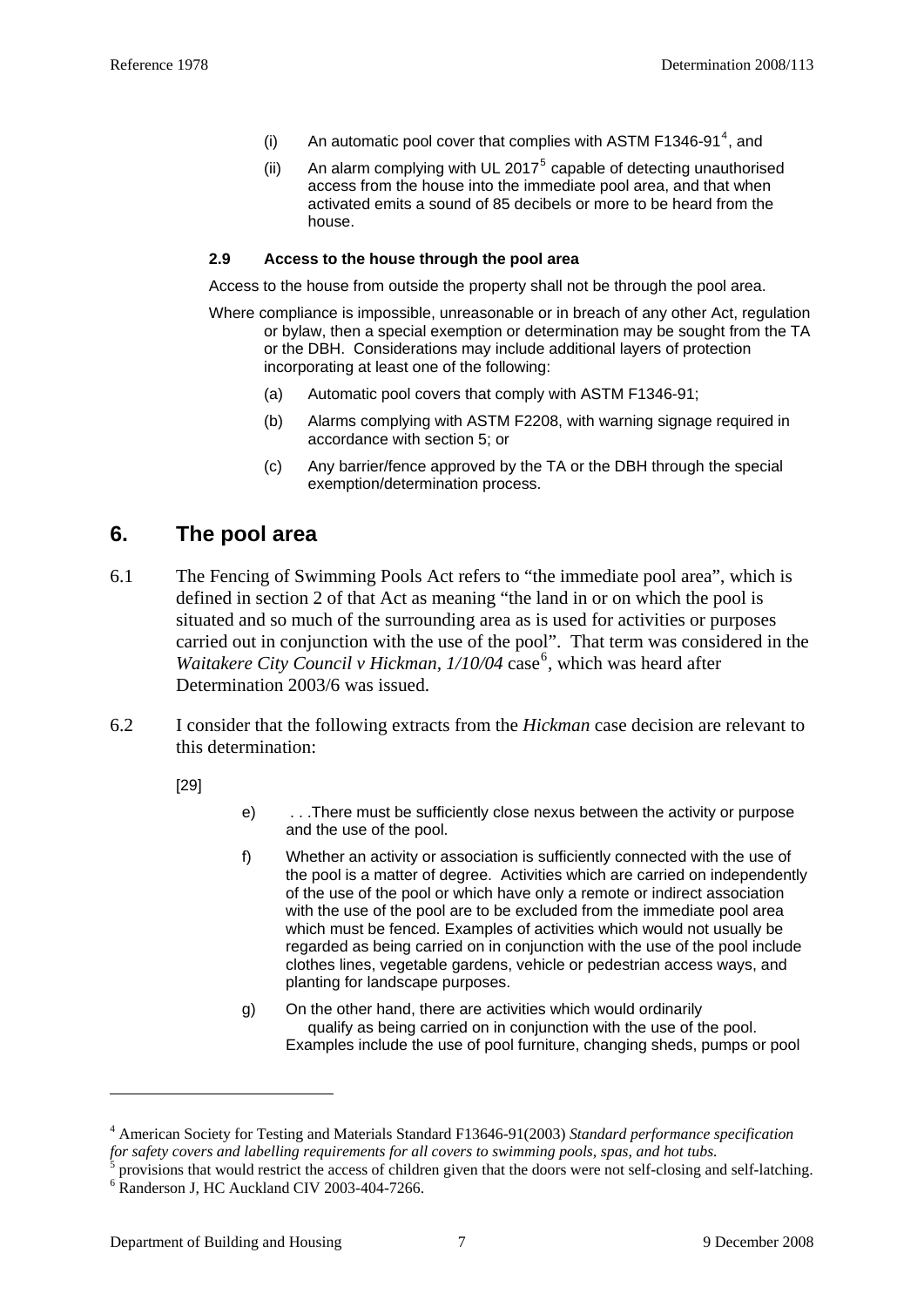- <span id="page-6-0"></span>(i) An automatic pool cover that complies with ASTM F13[4](#page-6-0)6-91<sup>4</sup>, and
- (ii) An alarm complying with UL 2017 $<sup>5</sup>$  $<sup>5</sup>$  $<sup>5</sup>$  capable of detecting unauthorised</sup> access from the house into the immediate pool area, and that when activated emits a sound of 85 decibels or more to be heard from the house.

#### **2.9 Access to the house through the pool area**

Access to the house from outside the property shall not be through the pool area.

- Where compliance is impossible, unreasonable or in breach of any other Act, regulation or bylaw, then a special exemption or determination may be sought from the TA or the DBH. Considerations may include additional layers of protection incorporating at least one of the following:
	- (a) Automatic pool covers that comply with ASTM F1346-91;
	- (b) Alarms complying with ASTM F2208, with warning signage required in accordance with section 5; or
	- (c) Any barrier/fence approved by the TA or the DBH through the special exemption/determination process.

### **6. The pool area**

- 6.1 The Fencing of Swimming Pools Act refers to "the immediate pool area", which is defined in section 2 of that Act as meaning "the land in or on which the pool is situated and so much of the surrounding area as is used for activities or purposes carried out in conjunction with the use of the pool". That term was considered in the Waitakere City Council v Hickman, 1/10/04 case<sup>[6](#page-6-0)</sup>, which was heard after Determination 2003/6 was issued.
- 6.2 I consider that the following extracts from the *Hickman* case decision are relevant to this determination:

[29]

1

- e) . . .There must be sufficiently close nexus between the activity or purpose and the use of the pool.
- f) Whether an activity or association is sufficiently connected with the use of the pool is a matter of degree. Activities which are carried on independently of the use of the pool or which have only a remote or indirect association with the use of the pool are to be excluded from the immediate pool area which must be fenced. Examples of activities which would not usually be regarded as being carried on in conjunction with the use of the pool include clothes lines, vegetable gardens, vehicle or pedestrian access ways, and planting for landscape purposes.
- g) On the other hand, there are activities which would ordinarily qualify as being carried on in conjunction with the use of the pool. Examples include the use of pool furniture, changing sheds, pumps or pool

<sup>4</sup> American Society for Testing and Materials Standard F13646-91(2003) *Standard performance specification for safety covers and labelling requirements for all covers to swimming pools, spas, and hot tubs.* 

<sup>5</sup> provisions that would restrict the access of children given that the doors were not self-closing and self-latching.

<sup>&</sup>lt;sup>6</sup> Randerson J, HC Auckland CIV 2003-404-7266.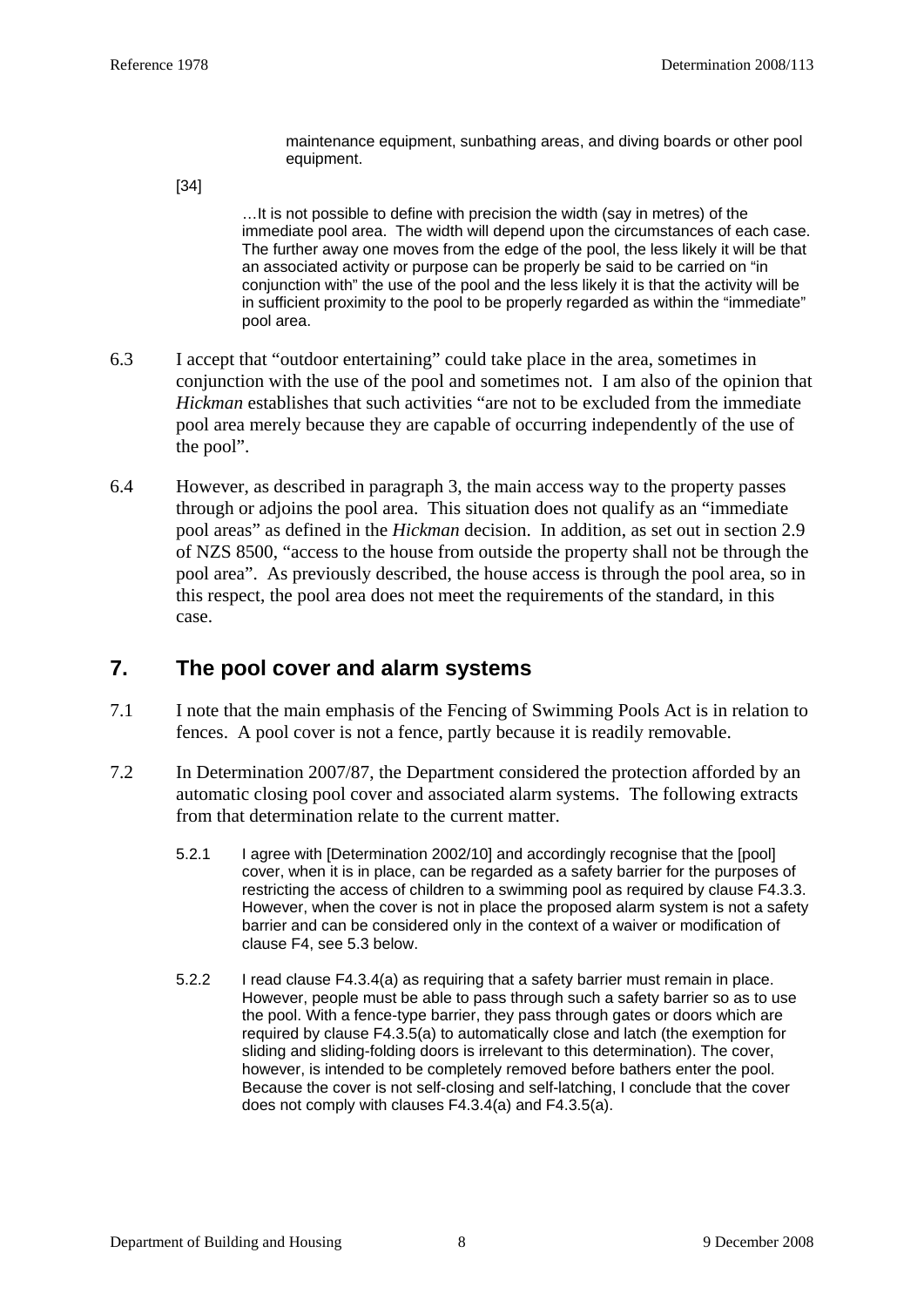maintenance equipment, sunbathing areas, and diving boards or other pool equipment.

[34]

…It is not possible to define with precision the width (say in metres) of the immediate pool area. The width will depend upon the circumstances of each case. The further away one moves from the edge of the pool, the less likely it will be that an associated activity or purpose can be properly be said to be carried on "in conjunction with" the use of the pool and the less likely it is that the activity will be in sufficient proximity to the pool to be properly regarded as within the "immediate" pool area.

- 6.3 I accept that "outdoor entertaining" could take place in the area, sometimes in conjunction with the use of the pool and sometimes not. I am also of the opinion that *Hickman* establishes that such activities "are not to be excluded from the immediate pool area merely because they are capable of occurring independently of the use of the pool".
- 6.4 However, as described in paragraph 3, the main access way to the property passes through or adjoins the pool area. This situation does not qualify as an "immediate pool areas" as defined in the *Hickman* decision. In addition, as set out in section 2.9 of NZS 8500, "access to the house from outside the property shall not be through the pool area". As previously described, the house access is through the pool area, so in this respect, the pool area does not meet the requirements of the standard, in this case.

### **7. The pool cover and alarm systems**

- 7.1 I note that the main emphasis of the Fencing of Swimming Pools Act is in relation to fences. A pool cover is not a fence, partly because it is readily removable.
- 7.2 In Determination 2007/87, the Department considered the protection afforded by an automatic closing pool cover and associated alarm systems. The following extracts from that determination relate to the current matter.
	- 5.2.1 I agree with [Determination 2002/10] and accordingly recognise that the [pool] cover, when it is in place, can be regarded as a safety barrier for the purposes of restricting the access of children to a swimming pool as required by clause F4.3.3. However, when the cover is not in place the proposed alarm system is not a safety barrier and can be considered only in the context of a waiver or modification of clause F4, see 5.3 below.
	- 5.2.2 I read clause F4.3.4(a) as requiring that a safety barrier must remain in place. However, people must be able to pass through such a safety barrier so as to use the pool. With a fence-type barrier, they pass through gates or doors which are required by clause F4.3.5(a) to automatically close and latch (the exemption for sliding and sliding-folding doors is irrelevant to this determination). The cover, however, is intended to be completely removed before bathers enter the pool. Because the cover is not self-closing and self-latching, I conclude that the cover does not comply with clauses  $F4.3.4(a)$  and  $F4.3.5(a)$ .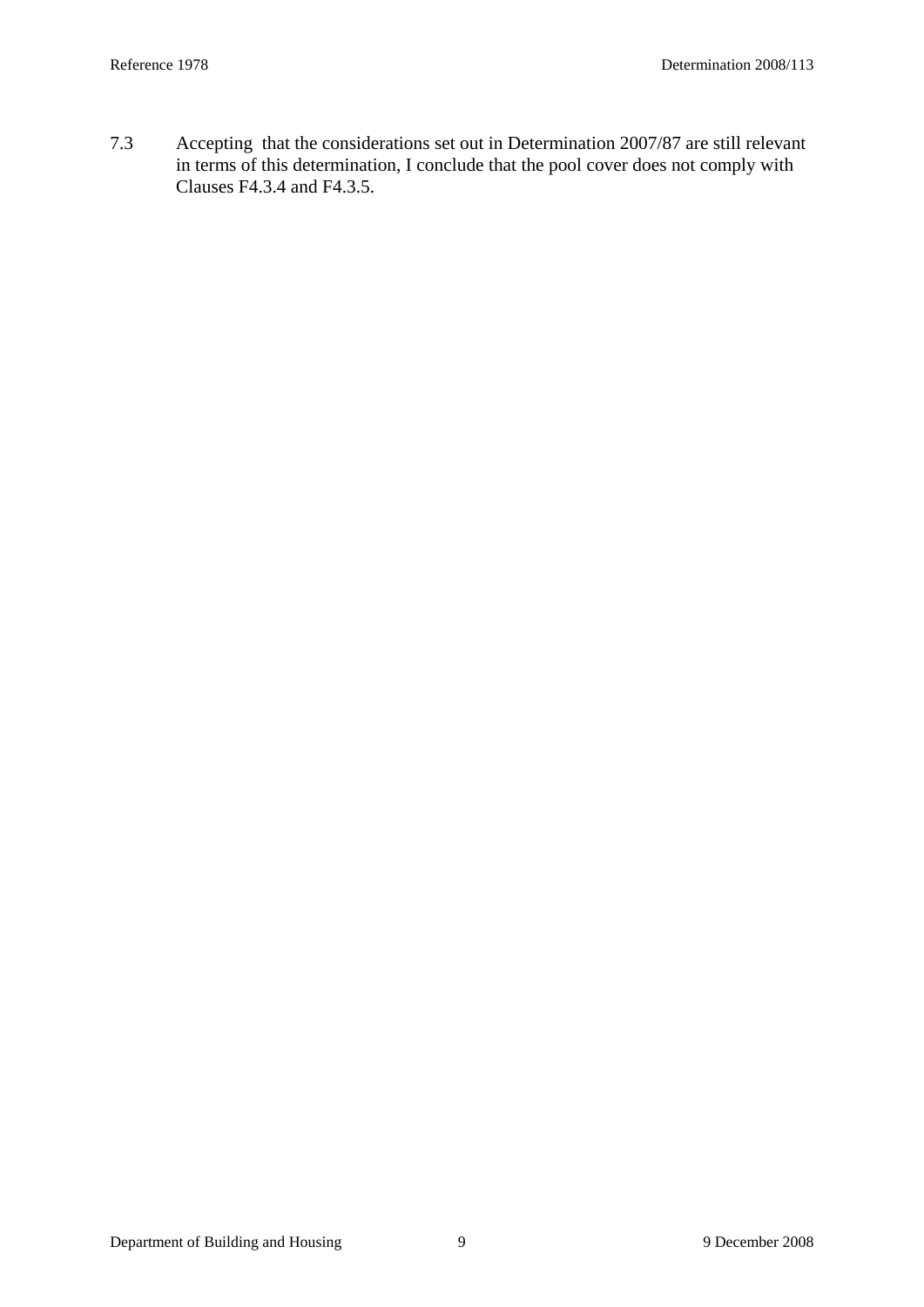7.3 Accepting that the considerations set out in Determination 2007/87 are still relevant in terms of this determination, I conclude that the pool cover does not comply with Clauses F4.3.4 and F4.3.5.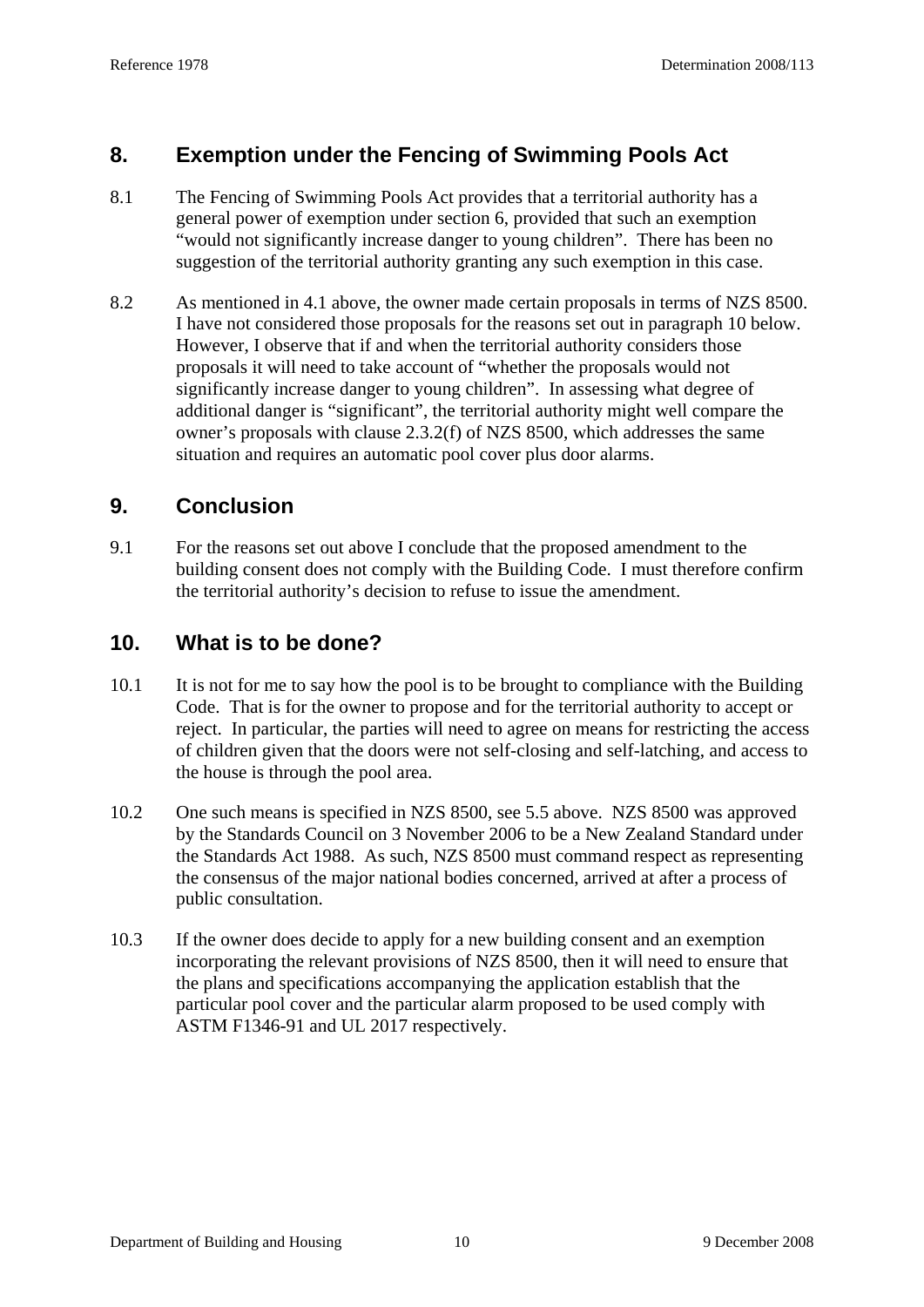# **8. Exemption under the Fencing of Swimming Pools Act**

- 8.1 The Fencing of Swimming Pools Act provides that a territorial authority has a general power of exemption under section 6, provided that such an exemption "would not significantly increase danger to young children". There has been no suggestion of the territorial authority granting any such exemption in this case.
- 8.2 As mentioned in 4.1 above, the owner made certain proposals in terms of NZS 8500. I have not considered those proposals for the reasons set out in paragraph 10 below. However, I observe that if and when the territorial authority considers those proposals it will need to take account of "whether the proposals would not significantly increase danger to young children". In assessing what degree of additional danger is "significant", the territorial authority might well compare the owner's proposals with clause 2.3.2(f) of NZS 8500, which addresses the same situation and requires an automatic pool cover plus door alarms.

### **9. Conclusion**

9.1 For the reasons set out above I conclude that the proposed amendment to the building consent does not comply with the Building Code. I must therefore confirm the territorial authority's decision to refuse to issue the amendment.

## **10. What is to be done?**

- 10.1 It is not for me to say how the pool is to be brought to compliance with the Building Code. That is for the owner to propose and for the territorial authority to accept or reject. In particular, the parties will need to agree on means for restricting the access of children given that the doors were not self-closing and self-latching, and access to the house is through the pool area.
- 10.2 One such means is specified in NZS 8500, see 5.5 above. NZS 8500 was approved by the Standards Council on 3 November 2006 to be a New Zealand Standard under the Standards Act 1988. As such, NZS 8500 must command respect as representing the consensus of the major national bodies concerned, arrived at after a process of public consultation.
- 10.3 If the owner does decide to apply for a new building consent and an exemption incorporating the relevant provisions of NZS 8500, then it will need to ensure that the plans and specifications accompanying the application establish that the particular pool cover and the particular alarm proposed to be used comply with ASTM F1346-91 and UL 2017 respectively.